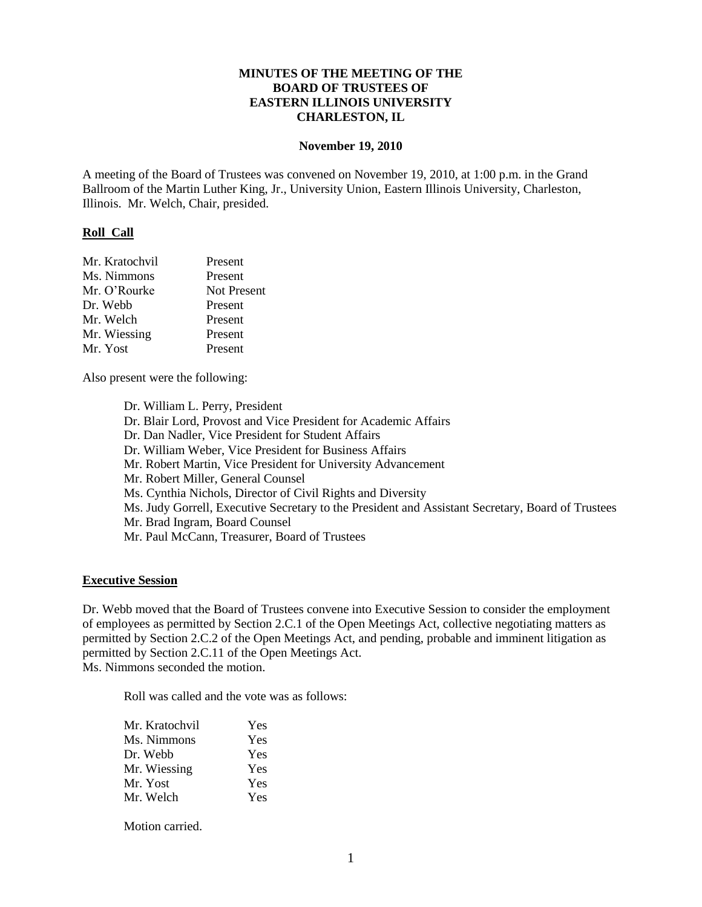### **MINUTES OF THE MEETING OF THE BOARD OF TRUSTEES OF EASTERN ILLINOIS UNIVERSITY CHARLESTON, IL**

#### **November 19, 2010**

A meeting of the Board of Trustees was convened on November 19, 2010, at 1:00 p.m. in the Grand Ballroom of the Martin Luther King, Jr., University Union, Eastern Illinois University, Charleston, Illinois. Mr. Welch, Chair, presided.

#### **Roll Call**

| Mr. Kratochvil | Present            |
|----------------|--------------------|
| Ms. Nimmons    | Present            |
| Mr. O'Rourke   | <b>Not Present</b> |
| Dr. Webb       | Present            |
| Mr. Welch      | Present            |
| Mr. Wiessing   | Present            |
| Mr. Yost       | Present            |

Also present were the following:

Dr. William L. Perry, President Dr. Blair Lord, Provost and Vice President for Academic Affairs Dr. Dan Nadler, Vice President for Student Affairs Dr. William Weber, Vice President for Business Affairs Mr. Robert Martin, Vice President for University Advancement Mr. Robert Miller, General Counsel Ms. Cynthia Nichols, Director of Civil Rights and Diversity Ms. Judy Gorrell, Executive Secretary to the President and Assistant Secretary, Board of Trustees Mr. Brad Ingram, Board Counsel Mr. Paul McCann, Treasurer, Board of Trustees

#### **Executive Session**

Dr. Webb moved that the Board of Trustees convene into Executive Session to consider the employment of employees as permitted by Section 2.C.1 of the Open Meetings Act, collective negotiating matters as permitted by Section 2.C.2 of the Open Meetings Act, and pending, probable and imminent litigation as permitted by Section 2.C.11 of the Open Meetings Act. Ms. Nimmons seconded the motion.

Roll was called and the vote was as follows:

| Mr. Kratochvil | Yes |
|----------------|-----|
| Ms. Nimmons    | Yes |
| Dr. Webb       | Yes |
| Mr. Wiessing   | Yes |
| Mr. Yost       | Yes |
| Mr. Welch      | Yes |

Motion carried.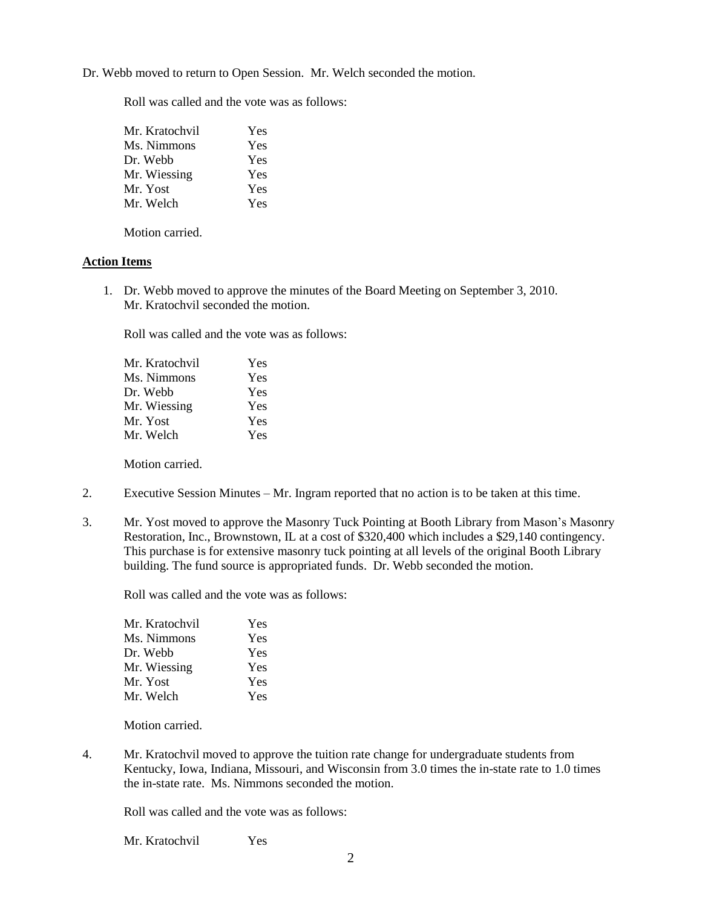Dr. Webb moved to return to Open Session. Mr. Welch seconded the motion.

Roll was called and the vote was as follows:

| Mr. Kratochvil | Yes |
|----------------|-----|
| Ms. Nimmons    | Yes |
| Dr. Webb       | Yes |
| Mr. Wiessing   | Yes |
| Mr. Yost       | Yes |
| Mr. Welch      | Yes |

Motion carried.

### **Action Items**

1. Dr. Webb moved to approve the minutes of the Board Meeting on September 3, 2010. Mr. Kratochvil seconded the motion.

Roll was called and the vote was as follows:

| Mr. Kratochvil | Yes |
|----------------|-----|
| Ms. Nimmons    | Yes |
| Dr. Webb       | Yes |
| Mr. Wiessing   | Yes |
| Mr. Yost       | Yes |
| Mr. Welch      | Yes |

Motion carried.

- 2. Executive Session Minutes Mr. Ingram reported that no action is to be taken at this time.
- 3. Mr. Yost moved to approve the Masonry Tuck Pointing at Booth Library from Mason's Masonry Restoration, Inc., Brownstown, IL at a cost of \$320,400 which includes a \$29,140 contingency. This purchase is for extensive masonry tuck pointing at all levels of the original Booth Library building. The fund source is appropriated funds. Dr. Webb seconded the motion.

Roll was called and the vote was as follows:

| Mr. Kratochvil | Yes |
|----------------|-----|
| Ms. Nimmons    | Yes |
| Dr. Webb       | Yes |
| Mr. Wiessing   | Yes |
| Mr. Yost       | Yes |
| Mr. Welch      | Yes |

Motion carried.

4. Mr. Kratochvil moved to approve the tuition rate change for undergraduate students from Kentucky, Iowa, Indiana, Missouri, and Wisconsin from 3.0 times the in-state rate to 1.0 times the in-state rate. Ms. Nimmons seconded the motion.

Roll was called and the vote was as follows:

Mr. Kratochvil Yes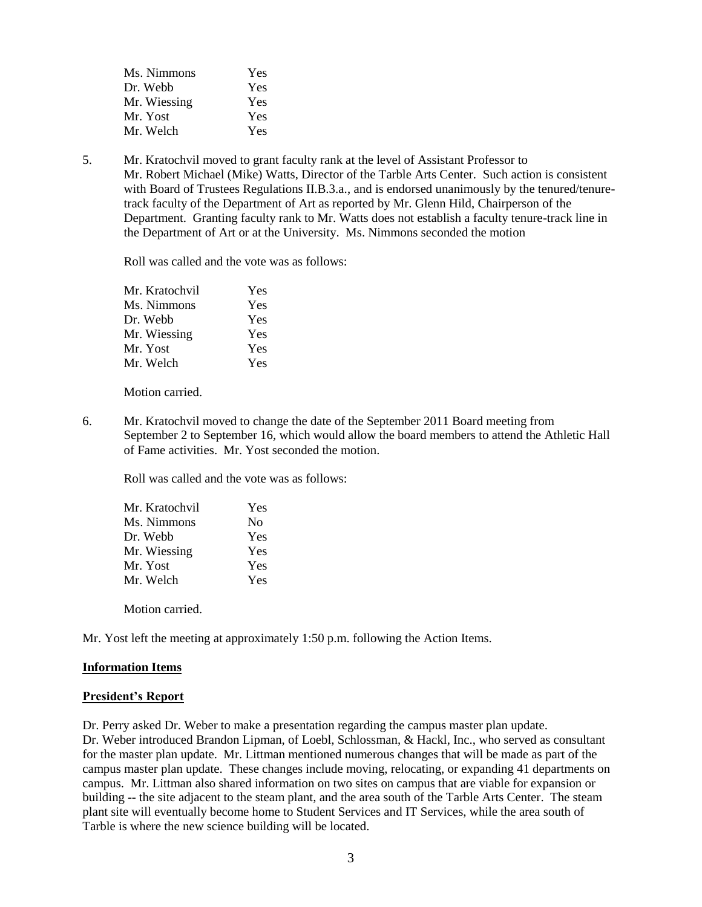| Ms. Nimmons  | Yes |
|--------------|-----|
| Dr. Webb     | Yes |
| Mr. Wiessing | Yes |
| Mr. Yost     | Yes |
| Mr. Welch    | Yes |

5. Mr. Kratochvil moved to grant faculty rank at the level of Assistant Professor to Mr. Robert Michael (Mike) Watts, Director of the Tarble Arts Center. Such action is consistent with Board of Trustees Regulations II.B.3.a., and is endorsed unanimously by the tenured/tenuretrack faculty of the Department of Art as reported by Mr. Glenn Hild, Chairperson of the Department. Granting faculty rank to Mr. Watts does not establish a faculty tenure-track line in the Department of Art or at the University. Ms. Nimmons seconded the motion

Roll was called and the vote was as follows:

| Yes |
|-----|
| Yes |
| Yes |
| Yes |
| Yes |
| Yes |
|     |

Motion carried.

6. Mr. Kratochvil moved to change the date of the September 2011 Board meeting from September 2 to September 16, which would allow the board members to attend the Athletic Hall of Fame activities. Mr. Yost seconded the motion.

Roll was called and the vote was as follows:

| Mr. Kratochvil | Yes            |
|----------------|----------------|
| Ms. Nimmons    | N <sub>0</sub> |
| Dr. Webb       | Yes            |
| Mr. Wiessing   | Yes            |
| Mr. Yost       | Yes            |
| Mr. Welch      | Yes            |
|                |                |

Motion carried.

Mr. Yost left the meeting at approximately 1:50 p.m. following the Action Items.

#### **Information Items**

#### **President's Report**

Dr. Perry asked Dr. Weber to make a presentation regarding the campus master plan update. Dr. Weber introduced Brandon Lipman, of Loebl, Schlossman, & Hackl, Inc., who served as consultant for the master plan update. Mr. Littman mentioned numerous changes that will be made as part of the campus master plan update. These changes include moving, relocating, or expanding 41 departments on campus. Mr. Littman also shared information on two sites on campus that are viable for expansion or building -- the site adjacent to the steam plant, and the area south of the Tarble Arts Center. The steam plant site will eventually become home to Student Services and IT Services, while the area south of Tarble is where the new science building will be located.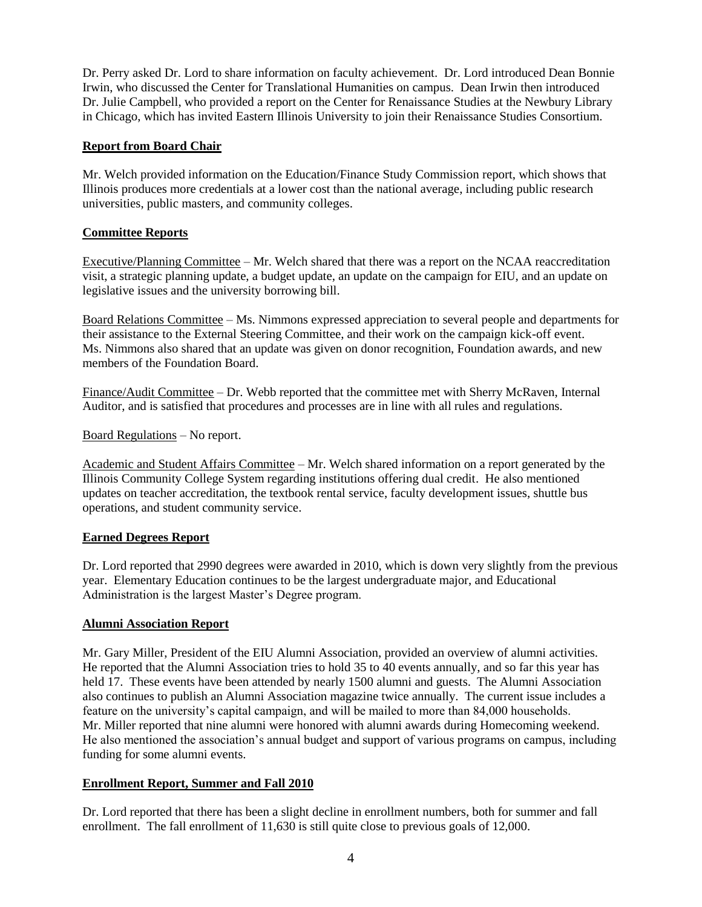Dr. Perry asked Dr. Lord to share information on faculty achievement. Dr. Lord introduced Dean Bonnie Irwin, who discussed the Center for Translational Humanities on campus. Dean Irwin then introduced Dr. Julie Campbell, who provided a report on the Center for Renaissance Studies at the Newbury Library in Chicago, which has invited Eastern Illinois University to join their Renaissance Studies Consortium.

### **Report from Board Chair**

Mr. Welch provided information on the Education/Finance Study Commission report, which shows that Illinois produces more credentials at a lower cost than the national average, including public research universities, public masters, and community colleges.

### **Committee Reports**

Executive/Planning Committee – Mr. Welch shared that there was a report on the NCAA reaccreditation visit, a strategic planning update, a budget update, an update on the campaign for EIU, and an update on legislative issues and the university borrowing bill.

Board Relations Committee – Ms. Nimmons expressed appreciation to several people and departments for their assistance to the External Steering Committee, and their work on the campaign kick-off event. Ms. Nimmons also shared that an update was given on donor recognition, Foundation awards, and new members of the Foundation Board.

Finance/Audit Committee – Dr. Webb reported that the committee met with Sherry McRaven, Internal Auditor, and is satisfied that procedures and processes are in line with all rules and regulations.

Board Regulations – No report.

Academic and Student Affairs Committee – Mr. Welch shared information on a report generated by the Illinois Community College System regarding institutions offering dual credit. He also mentioned updates on teacher accreditation, the textbook rental service, faculty development issues, shuttle bus operations, and student community service.

### **Earned Degrees Report**

Dr. Lord reported that 2990 degrees were awarded in 2010, which is down very slightly from the previous year. Elementary Education continues to be the largest undergraduate major, and Educational Administration is the largest Master's Degree program.

### **Alumni Association Report**

Mr. Gary Miller, President of the EIU Alumni Association, provided an overview of alumni activities. He reported that the Alumni Association tries to hold 35 to 40 events annually, and so far this year has held 17. These events have been attended by nearly 1500 alumni and guests. The Alumni Association also continues to publish an Alumni Association magazine twice annually. The current issue includes a feature on the university's capital campaign, and will be mailed to more than 84,000 households. Mr. Miller reported that nine alumni were honored with alumni awards during Homecoming weekend. He also mentioned the association's annual budget and support of various programs on campus, including funding for some alumni events.

### **Enrollment Report, Summer and Fall 2010**

Dr. Lord reported that there has been a slight decline in enrollment numbers, both for summer and fall enrollment. The fall enrollment of 11,630 is still quite close to previous goals of 12,000.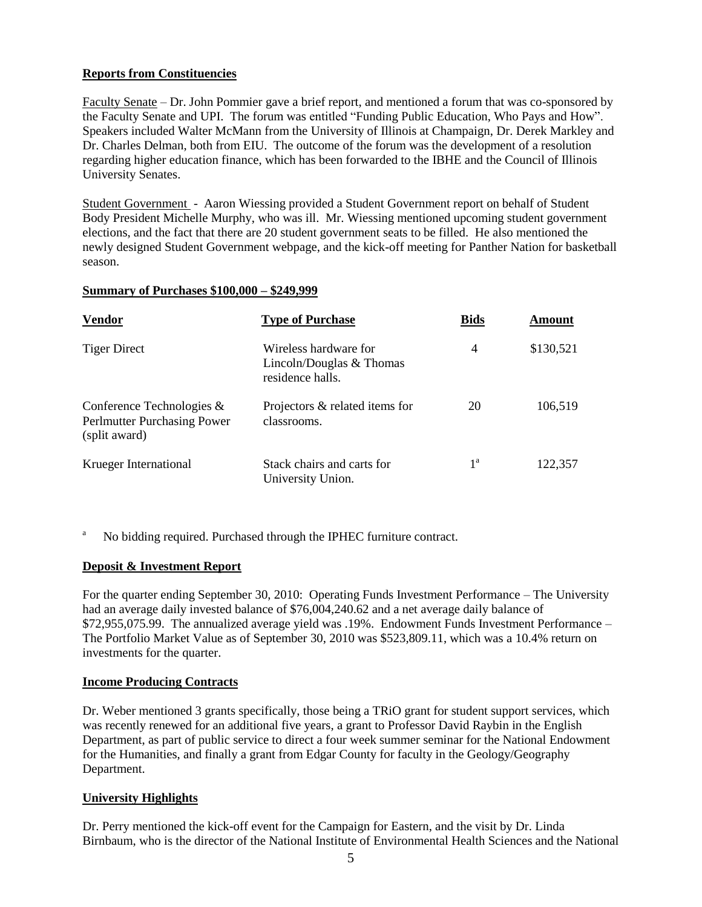# **Reports from Constituencies**

Faculty Senate – Dr. John Pommier gave a brief report, and mentioned a forum that was co-sponsored by the Faculty Senate and UPI. The forum was entitled "Funding Public Education, Who Pays and How". Speakers included Walter McMann from the University of Illinois at Champaign, Dr. Derek Markley and Dr. Charles Delman, both from EIU. The outcome of the forum was the development of a resolution regarding higher education finance, which has been forwarded to the IBHE and the Council of Illinois University Senates.

Student Government - Aaron Wiessing provided a Student Government report on behalf of Student Body President Michelle Murphy, who was ill. Mr. Wiessing mentioned upcoming student government elections, and the fact that there are 20 student government seats to be filled. He also mentioned the newly designed Student Government webpage, and the kick-off meeting for Panther Nation for basketball season.

### **Summary of Purchases \$100,000 – \$249,999**

| <b>Vendor</b>                                                                | <b>Type of Purchase</b>                                                 | <b>Bids</b>    | Amount    |
|------------------------------------------------------------------------------|-------------------------------------------------------------------------|----------------|-----------|
| <b>Tiger Direct</b>                                                          | Wireless hardware for<br>Lincoln/Douglas $&$ Thomas<br>residence halls. | $\overline{4}$ | \$130,521 |
| Conference Technologies $\&$<br>Perlmutter Purchasing Power<br>(split award) | Projectors & related items for<br>classrooms.                           | 20             | 106,519   |
| Krueger International                                                        | Stack chairs and carts for<br>University Union.                         | 1 <sup>a</sup> | 122,357   |

<sup>a</sup> No bidding required. Purchased through the IPHEC furniture contract.

## **Deposit & Investment Report**

For the quarter ending September 30, 2010: Operating Funds Investment Performance – The University had an average daily invested balance of \$76,004,240.62 and a net average daily balance of \$72,955,075.99. The annualized average yield was .19%. Endowment Funds Investment Performance – The Portfolio Market Value as of September 30, 2010 was \$523,809.11, which was a 10.4% return on investments for the quarter.

### **Income Producing Contracts**

Dr. Weber mentioned 3 grants specifically, those being a TRiO grant for student support services, which was recently renewed for an additional five years, a grant to Professor David Raybin in the English Department, as part of public service to direct a four week summer seminar for the National Endowment for the Humanities, and finally a grant from Edgar County for faculty in the Geology/Geography Department.

### **University Highlights**

Dr. Perry mentioned the kick-off event for the Campaign for Eastern, and the visit by Dr. Linda Birnbaum, who is the director of the National Institute of Environmental Health Sciences and the National